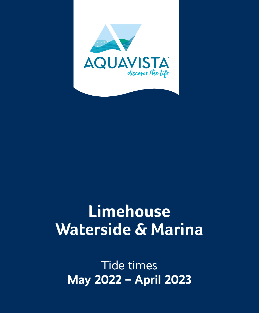

# **Limehouse Waterside & Marina**

Tide times **May 2022 – April 2023**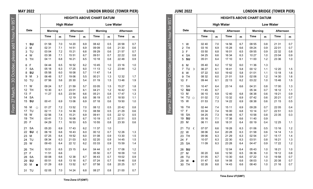|                            | <b>JUNE 2022</b>            |                |     |                                  |     |         |     | <b>LONDON BRIDGE (TOWER PIER)</b> |     |
|----------------------------|-----------------------------|----------------|-----|----------------------------------|-----|---------|-----|-----------------------------------|-----|
|                            |                             |                |     | <b>HEIGHTS ABOVE CHART DATUM</b> |     |         |     |                                   |     |
| 55<br>$\overline{5}$       |                             |                |     | <b>High Water</b>                |     |         |     | <b>Low Water</b>                  |     |
|                            | Date                        | <b>Morning</b> |     | Afternoon                        |     | Morning |     | Afternoon                         |     |
| October, please add 1 hour |                             | Time           | m   | Time                             | m   | Time    | m   | Time                              | m   |
|                            | W<br>1                      | 02 40          | 7.0 | 14 56                            | 6.7 | 08 55   | 0.8 | 21 31                             | 0.7 |
|                            | $\overline{2}$<br><b>TH</b> | 03 16          | 6.9 | 15 28                            | 6.6 | 09 24   | 0.9 | 22 01                             | 0.7 |
|                            | F<br>3                      | 03 50          | 6.8 | 16 01                            | 6.5 | 09 55   | 0.9 | 22 32                             | 0.8 |
|                            | <b>SA</b><br>4              | 04 25          | 6.6 | 16 34                            | 6.3 | 10 27   | 1.0 | 23 04                             | 0.9 |
|                            | 5<br>SU                     | 05 01          | 6.4 | 17 10                            | 6.1 | 11 00   | 1.2 | 23 36                             | 1.0 |
|                            | 6<br>M                      | 05 40          | 6.2 | 17 52                            | 6.0 | 11 36   | 1.3 |                                   |     |
|                            | $\overline{7}$<br>TU<br>r   | 06 27          | 6.1 | 1841                             | 5.8 | 00 12   | 1.1 | 12 20                             | 1.5 |
|                            | W<br>8                      | 07 22          | 6.0 | 1942                             | 5.8 | 01 01   | 1.1 | 13 18                             | 1.6 |
|                            | <b>TH</b><br>9              | 08 32          | 6.0 | 21 01                            | 5.9 | 02 06   | 1.2 | 14 30                             | 1.6 |
| 80                         | F<br>10                     | 09 44          | 6.1 | 22 13                            | 6.2 | 03 22   | 1.0 | 1546                              | 1.5 |
|                            | <b>SA</b><br>11             | 1047           | 6.4 | 23 14                            | 6.6 | 04 31   | 0.8 | 1700                              | 1.3 |
|                            | SU<br>12                    | 11 45          | 6.7 |                                  |     | 05 34   | 0.7 | 18 12                             | 1.1 |
|                            | 13<br>M                     | 00 10          | 6.9 | 12 40                            | 6.8 | 06 38   | 0.6 | 19 21                             | 0.9 |
|                            | TU<br>14<br>$\circ$         | 01 02          | 7.2 | 13 32                            | 6.9 | 07 42   | 0.6 | 20 21                             | 0.7 |
| From 27 March              | 15<br>W                     | 01 53          | 7.3 | 14 22                            | 6.9 | 08 38   | 0.6 | 21 15                             | 0.5 |
|                            | <b>TH</b><br>16             | 02 44          | 7.4 | 15 11                            | 6.9 | 09 28   | 0.7 | 22 05                             | 0.4 |
|                            | F<br>17                     | 03 34          | 7.4 | 16 00                            | 6.8 | 10 14   | 0.7 | 22 51                             | 0.3 |
|                            | <b>SA</b><br>18             | 04 25          | 7.3 | 16 48                            | 6.7 | 10 58   | 0.8 | 23 35                             | 0.3 |
|                            | SU<br>19                    | 05 16          | 7.1 | 17 38                            | 6.6 | 11 40   | 0.9 |                                   |     |
|                            | 20<br>M                     | 06 11          | 6.8 | 18 31                            | 6.4 | 00 19   | 0.4 | 12 25                             | 1.1 |
|                            | TU<br>21<br>$\mathcal{L}$   | 07 07          | 6.6 | 19 28                            | 6.3 | 01 06   | 0.5 | 13 16                             | 1.2 |
|                            | W<br>22                     | 08 06          | 6.4 | 20 28                            | 6.3 | 01 58   | 0.6 | 14 14                             | 1.3 |
|                            | <b>TH</b><br>23             | 09 06          | 6.3 | 21 29                            | 6.3 | 02 54   | 0.7 | 15 17                             | 1.4 |
|                            | F<br>24                     | 10 07          | 6.3 | 22 30                            | 6.3 | 03 51   | 0.8 | 16 21                             | 1.3 |
|                            | <b>SA</b><br>25             | 11 09          | 6.3 | 23 28                            | 6.4 | 04 47   | 0.9 | 17 22                             | 1.2 |
|                            | SU<br>26                    |                |     | 12 04                            | 6.4 | 05 43   | 1.0 | 18 21                             | 1.0 |
|                            | 27<br>М                     | 00 20          | 6.6 | 12 50                            | 6.5 | 06 36   | 1.0 | 19 12                             | 0.8 |
|                            | TU<br>28                    | 01 05          | 6.7 | 13 30                            | 6.6 | 07 22   | 1.0 | 1958                              | 0.7 |
|                            | W<br>29                     | 01 47          | 6.8 | 14 08                            | 6.6 | 08 03   | 1.0 | 20 38                             | 0.7 |
|                            | <b>TH</b><br>30             | 02 26          | 6.8 | 14 43                            | 6.6 | 08 40   | 1.0 | 21 16                             | 0.7 |
|                            |                             |                |     |                                  |     |         |     |                                   |     |

**Time Zone UT(GMT)**

**MAY 2022 LONDON BRIDGE (TOWER PIER)**

From 27 March – 30 October, please add 1 hour for BST

From 27 March - 30 October, please add 1 hour for BST

|                              |         |         |                   |           |     | <b>HEIGHTS ABOVE CHART DATUM</b> |     |                  |     |  |
|------------------------------|---------|---------|-------------------|-----------|-----|----------------------------------|-----|------------------|-----|--|
|                              |         |         | <b>High Water</b> |           |     |                                  |     | <b>Low Water</b> |     |  |
| Date                         |         | Mornina |                   | Afternoon |     | Morning                          |     | Afternoon        |     |  |
|                              |         | Time    | m                 | Time      | m   | Time                             | m   | <b>Time</b>      | m   |  |
| SU<br>1                      |         | 01 58   | 7.0               | 14 20     | 6.9 | 08 42                            | 0.5 | 20 58            | 0.7 |  |
| $\overline{2}$<br>M          |         | 02 31   | 7.1               | 14 51     | 6.9 | 09 09                            | 0.6 | 21 30            | 0.6 |  |
| 3<br>TU                      |         | 03 04   | 7.2               | 15 21     | 6.8 | 09 29                            | 0.6 | 21 57            | 0.7 |  |
| W<br>$\overline{\mathbf{4}}$ |         | 03 38   | 7.1               | 1551      | 6.7 | 09 51                            | 0.7 | 22 22            | 0.8 |  |
| 5<br><b>TH</b>               |         | 04 11   | 6.8               | 16 21     | 6.5 | 10 18                            | 0.8 | 22 48            | 0.9 |  |
| F<br>6                       |         | 04 44   | 6.5               | 16 52     | 6.2 | 1045                             | 1.0 | 23 16            | 1.0 |  |
| $\overline{7}$<br><b>SA</b>  |         | 05 18   | 6.3               | 17 25     | 6.0 | 11 13                            | 1.2 | 23 44            | 1.2 |  |
| SU<br>8                      |         | 05 58   | 6.0               | 18 08     | 5.7 | 1147                             | 1.4 |                  |     |  |
| M<br>9                       | D       | 06 48   | 5.7               | 1906      | 5.5 | 00 21                            | 1.3 | 12 32            | 1.7 |  |
| 10<br>TU                     |         | 07 56   | 5.6               | 20 30     | 5.4 | 01 19                            | 1.5 | 1346             | 1.9 |  |
| W<br>11                      |         | 09 24   | 5.7               | 21 59     | 5.7 | 03 05                            | 1.5 | 15 27            | 1.8 |  |
| 12<br><b>TH</b>              |         | 10 30   | 6.1               | 23 01     | 6.1 | 04 21                            | 1.2 | 1642             | 1.5 |  |
| 13<br>F                      |         | 11 27   | 6.5               | 23 54     | 6.6 | 05 21                            | 0.8 | 1747             | 1.3 |  |
| <b>SA</b><br>14              |         |         |                   | 12 19     | 6.8 | 06 19                            | 0.7 | 18 50            | 1.1 |  |
| SU<br>15                     |         | 00 41   | 6.9               | 1306      | 6.9 | 07 18                            | 0.6 | 19 50            | 1.0 |  |
| 16<br>M                      | $\circ$ | 01 27   | 7.2               | 1352      | 7.0 | 08 12                            | 0.5 | 20 42            | 0.8 |  |
| 17<br>TU                     |         | 02 11   | 7.3               | 14 36     | 7.0 | 08 59                            | 0.5 | 21 29            | 0.6 |  |
| 18<br>W                      |         | 02 56   | 7.4               | 15 21     | 6.9 | 0941                             | 0.5 | 22 12            | 0.5 |  |
| 19<br>TH                     |         | 03 41   | 7.3               | 16 06     | 6.7 | 10 19                            | 0.7 | 22 51            | 0.5 |  |
| F<br>20                      |         | 04 29   | 7.1               | 16 53     | 6.5 | 10 55                            | 0.8 | 23 30            | 0.6 |  |
| <b>SA</b><br>21              |         | 05 20   | 6.9               | 1743      | 6.2 | 11 37                            | 1.0 |                  |     |  |
| 22<br>SU                     | €       | 06 19   | 6.6               | 1843      | 6.0 | 00 12                            | 0.7 | 12 26            | 1.3 |  |
| 23<br>M                      |         | 07 25   | 6.4               | 1952      | 6.0 | 01 08                            | 0.9 | 13 30            | 1.5 |  |
| 24<br>TU                     |         | 08 34   | 6.3               | 21 03     | 6.0 | 02 20                            | 0.9 | 14 45            | 1.5 |  |
| 25<br>W                      |         | 09 43   | 6.4               | 22 12     | 6.2 | 03 33                            | 0.9 | 15 59            | 1.4 |  |
| 26<br><b>TH</b>              |         | 1051    | 6.5               | 23 15     | 6.4 | 04 44                            | 0.7 | 1708             | 1.2 |  |
| F<br>27                      |         | 1151    | 6.6               |           |     | 05 50                            | 0.7 | 18 09            | 1.0 |  |
| 28<br><b>SA</b>              |         | 00 08   | 6.6               | 12 38     | 6.7 | 06 43                            | 0.7 | 19 02            | 0.9 |  |
| SU<br>29                     |         | 00 51   | 6.8               | 13 18     | 6.7 | 07 24                            | 0.7 | 1946             | 0.8 |  |
| M<br>30                      |         | 01 29   | 6.9               | 1352      | 6.7 | 07 58                            | 0.8 | 20 25            | 0.7 |  |
| 31<br>TU                     |         | 02 05   | 7.0               | 14 24     | 6.8 | 08 27                            | 0.8 | 21 00            | 0.7 |  |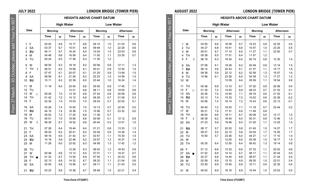|                     | <b>AUGUST 2022</b>   |         |                   |                  |     |                                  |     | <b>LONDON BRIDGE (TOWER PIER)</b> |        |
|---------------------|----------------------|---------|-------------------|------------------|-----|----------------------------------|-----|-----------------------------------|--------|
|                     |                      |         |                   |                  |     | <b>HEIGHTS ABOVE CHART DATUM</b> |     |                                   |        |
| 58<br>8             |                      |         | <b>High Water</b> |                  |     |                                  |     | <b>Low Water</b>                  |        |
|                     | Date                 | Mornina |                   | <b>Afternoon</b> |     | Mornina                          |     | Afternoon                         |        |
| hour                |                      | Time    | m                 | Time             | m   | Time                             | m   | Time                              | m      |
|                     | М<br>1               | 03 55   | 6.8               | 16 09            | 6.7 | 10 23                            | 0.9 | 22 55                             | 0.4    |
|                     | $\overline{2}$<br>TU | 04 27   | 6.8               | 1641             | 6.6 | 1057                             | 1.0 | 23 25                             | 0.5    |
|                     | 3<br>W               | 05 01   | 6.7               | 17 14            | 6.5 | 11 27                            | 1.1 | 23 50                             | 0.7    |
|                     | 4<br>TH              | 05 38   | 6.5               | 1751             | 6.4 | 1157                             | 1.2 |                                   |        |
| October, please add | 5<br>F<br>ъ          | 06 19   | 6.3               | 18 34            | 6.4 | 00 15                            | 0.8 | 12 30                             | 1.4    |
|                     | SA<br>6              | 07 08   | 6.1               | 19 28            | 6.2 | 00 49                            | 0.9 | 13 14                             | 1.5    |
|                     | $\overline{7}$<br>SU | 08 14   | 5.9               | 2043             | 6.1 | 01 37                            | 1.1 | 14 17                             | 1.6    |
|                     | 8<br>М               | 09 38   | 5.9               | 22 12            | 6.2 | 02 59                            | 1.3 | 15 57                             | 1.6    |
|                     | 9<br>TU              | 10 56   | 6.1               | 23 28            | 6.5 | 04 38                            | 1.3 | 17 27                             | 1.2    |
| 80                  | W<br>10              |         |                   | 12 09            | 6.4 | 05 59                            | 1.1 | 18 54                             | 0.8    |
|                     | TH<br>11             | 00 36   | 6.9               | 13 10            | 6.7 | 07 20                            | 0.9 | 20 06                             | 0.4    |
|                     | 12<br>F<br>$\bigcap$ | 01 35   | 7.2               | 14 03            | 6.9 | 08 23                            | 0.7 | 21 03                             | 0.1    |
|                     | <b>SA</b><br>13      | 02 26   | 7.4               | 14 50            | 7.1 | 09 16                            | 0.6 | 21 52                             | $-0.1$ |
|                     | 14<br>SU             | 03 13   | 7.4               | 15 33            | 7.2 | 10 02                            | 0.6 | 22 36                             | $-0.2$ |
| 27 March            | 15<br>М              | 03 58   | 7.4               | 16 14            | 7.2 | 1043                             | 0.6 | 23 13                             | $-0.1$ |
| From                | 16<br>TU             | 04 40   | 7.2               | 16 53            | 7.1 | 11 18                            | 0.7 | 23 44                             | 0.2    |
|                     | 17<br>W              | 05 21   | 7.0               | 1731             | 6.9 | 1149                             | 0.8 |                                   |        |
|                     | TH<br>18             | 06 00   | 6.6               | 18 11            | 6.7 | 00 08                            | 0.5 | 12 17                             | 1.0    |
|                     | F<br>19<br>¢         | 06 39   | 6.2               | 18 54            | 6.4 | 00 31                            | 0.8 | 12 46                             | 1.3    |
|                     | 20<br><b>SA</b>      | 07 23   | 5.9               | 1946             | 6.0 | 01 00                            | 1.1 | 13 25                             | 1.5    |
|                     | 21<br>SU             | 08 17   | 5.7               | 20 53            | 5.8 | 0145                             | 1.5 | 14 27                             | 1.7    |
|                     | 22<br>М              | 09 27   | 5.5               | 22 10            | 5.8 | 03 04                            | 1.7 | 15 55                             | 1.7    |
|                     | 23<br>TU             | 10 50   | 5.7               | 23 26            | 6.0 | 04 27                            | 1.7 | 17 10                             | 1.4    |
|                     | W<br>24              |         |                   | 12 00            | 6.0 | 05 39                            | 1.5 | 18 17                             | 1.0    |
|                     | 25<br>TH             | 00 25   | 6.4               | 12 50            | 6.4 | 06 42                            | 1.3 | 19 14                             | 0.8    |
|                     | F<br>26              | 01 12   | 6.6               | 13 33            | 6.6 | 07 33                            | 1.1 | 20 02                             | 0.6    |
|                     | <b>SA</b><br>27      | 01 52   | 6.8               | 14 10            | 6.7 | 08 17                            | 1.1 | 20 44                             | 0.5    |
|                     | SU<br>28             | 02 27   | 6.8               | 14 44            | 6.8 | 08 57                            | 1.1 | 21 24                             | 0.4    |
|                     | 29<br>М              | 02 59   | 6.9               | 15 15            | 6.9 | 09 35                            | 1.0 | 22 01                             | 0.4    |
|                     | 30<br>TU             | 03 30   | 6.9               | 1545             | 6.9 | 10 11                            | 0.9 | 22 35                             | 0.4    |
|                     | W<br>31              | 04 02   | 6.9               | 16 16            | 6.9 | 1044                             | 1.0 | 23 03                             | 0.5    |

**JULY 2022 LONDON BRIDGE (TOWER PIER)**

|                         | Date      |           | <b>Morning</b> |     | Afternoon |     | Morning |     | Afternoon |     |
|-------------------------|-----------|-----------|----------------|-----|-----------|-----|---------|-----|-----------|-----|
|                         |           |           | Time           | m   | Time      | m   | Time    | m   | Time      | m   |
| 1                       | F         |           | 03 02          | 6.8 | 15 17     | 6.6 | 09 14   | 1.0 | 21 53     | 0.6 |
| $\overline{2}$          | <b>SA</b> |           | 03 37          | 6.7 | 15 51     | 6.6 | 09 48   | 1.0 | 22 28     | 0.6 |
| 3                       | SU        |           | 04 11          | 6.7 | 16 24     | 6.5 | 10 24   | 1.0 | 23 03     | 0.6 |
| $\overline{\mathbf{4}}$ | M         |           | 04 46          | 6.6 | 16 59     | 6.4 | 11 00   | 1.1 | 23 35     | 0.7 |
| 5                       | TU        |           | 05 24          | 6.5 | 17 36     | 6.3 | 11 35   | 1.2 |           |     |
| 6                       | W         |           | 06 05          | 6.3 | 18 18     | 6.2 | 00 06   | 0.8 | 12 11     | 1.3 |
| $\overline{7}$          | <b>TH</b> | Þ         | 06 51          | 6.2 | 1906      | 6.1 | 0041    | 0.9 | 12 54     | 1.4 |
| 8                       | F         |           | 0747           | 6.1 | 20 07     | 6.1 | 01 25   | 0.9 | 13 48     | 1.5 |
| 9                       | <b>SA</b> |           | 08 59          | 6.1 | 21 26     | 6.2 | 02 25   | 1.0 | 14 58     | 1.5 |
| 10                      | SU        |           | 10 11          | 6.2 | 22 39     | 6.5 | 03 44   | 1.0 | 16 24     | 1.4 |
| 11                      | M         |           | 11 18          | 6.4 | 23 45     | 6.8 | 05 00   | 0.9 | 1745      | 1.1 |
| 12                      | TU        |           |                |     | 12 21     | 6.6 | 06 11   | 0.8 | 19 00     | 0.8 |
| 13                      | w         | $\bigcap$ | 00 45          | 7.0 | 13 18     | 6.8 | 07 24   | 0.8 | 20 09     | 0.6 |
| 14                      | TH        |           | 01 42          | 7.2 | 14 12     | 6.9 | 08 29   | 0.7 | 21 09     | 0.3 |
| 15                      | F         |           | 02 35          | 7.4 | 1503      | 7.0 | 09 24   | 0.7 | 22 02     | 0.1 |
| 16                      | <b>SA</b> |           | 03 26          | 7.4 | 15 50     | 7.0 | 10 13   | 0.7 | 22 50     | 0.0 |
| 17                      | SU        |           | 04 15          | 7.4 | 16 36     | 7.0 | 10 56   | 0.7 | 23 32     | 0.0 |
| 18                      | M         |           | 05 03          | 7.2 | 17 20     | 6.9 | 11.36   | 0.7 |           |     |
| 19                      | TU        |           | 05 51          | 7.0 | 18 06     | 6.8 | 00 09   | 0.1 | 12 12     | 0.9 |
| 20                      | w         | ¢         | 06 39          | 6.7 | 1852      | 6.6 | 00 44   | 0.3 | 12 51     | 1.0 |
| 21                      | <b>TH</b> |           | 07 28          | 6.4 | 1944      | 6.4 | 01 21   | 0.6 | 13 33     | 1.3 |
| 22                      | F         |           | 08 20          | 6.2 | 2041      | 6.2 | 02 04   | 0.9 | 14 26     | 1.4 |
| 23                      | <b>SA</b> |           | 09 16          | 6.0 | 21 42     | 6.1 | 02 57   | 1.1 | 15 30     | 1.5 |
| 24                      | SU        |           | 10 19          | 5.9 | 22 48     | 6.2 | 03 57   | 1.2 | 16 37     | 1.4 |
| 25                      | M         |           | 11 28          | 6.0 | 23 52     | 6.3 | 04 59   | 1.3 | 1742      | 1.2 |
| 26                      | TU        |           |                |     | 12 26     | 6.3 | 06 02   | 1.2 | 1843      | 0.9 |
| 27                      | W         |           | 0046           | 6.6 | 13 13     | 6.5 | 07 01   | 1.1 | 19 37     | 0.7 |
| 28                      | TH.       |           | 01 33          | 6.7 | 1354      | 6.6 | 07 50   | 1.1 | 20 23     | 0.6 |
| 29                      | F         |           | 02 13          | 6.8 | 14 32     | 6.7 | 08 32   | 1.1 | 21 04     | 0.6 |
| 30                      | <b>SA</b> |           | 02 50          | 6.8 | 15 06     | 6.7 | 09 11   | 1.1 | 21 43     | 0.5 |
| 31                      | SU        |           | 03 23          | 6.8 | 15 38     | 6.7 | 09 48   | 1.0 | 22 21     | 0.4 |

**HEIGHTS ABOVE CHART DATUM High Water Low Water**

**Time Zone UT(GMT)**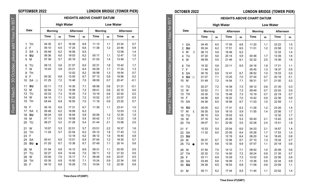|                     | OCTOBER 2022         |                |     |                   |     | <b>LONDON BRIDGE (TOWER PIER)</b> |                  |           |     |
|---------------------|----------------------|----------------|-----|-------------------|-----|-----------------------------------|------------------|-----------|-----|
|                     |                      |                |     |                   |     | <b>HEIGHTS ABOVE CHART DATUM</b>  |                  |           |     |
| for BST             |                      |                |     | <b>High Water</b> |     |                                   | <b>Low Water</b> |           |     |
|                     | Date                 | <b>Morning</b> |     | Afternoon         |     | Morning                           |                  | Afternoon |     |
| 1 hour              |                      | Time           | m   | Time              | m   | Time                              | m                | Time      | m   |
|                     | SA<br>1              | 04 45          | 6.5 | 17 05             | 6.8 | 11 20                             | 1.1              | 23 22     | 1.0 |
|                     | SU<br>$\overline{2}$ | 05 24          | 6.2 | 1751              | 6.5 | 11 51                             | 1.2              | 23 58     | 1.3 |
|                     | M<br>3<br>D          | 06 13          | 5.9 | 1849              | 6.2 |                                   |                  | 12 33     | 1.4 |
|                     | 4<br>TU              | 07 20          | 5.6 | 20 14             | 5.9 | 00 48                             | 1.7              | 13 39     | 1.6 |
| October, please add | 5<br>W               | 08 59          | 5.5 | 21 49             | 6.1 | 02 32                             | 2.0              | 15 36     | 1.6 |
|                     | 6<br>TH              | 10 32          | 5.8 | 23 11             | 6.5 | 04 16                             | 1.8              | 1721      | 1.1 |
|                     | F<br>$\overline{7}$  | 11 46          | 6.3 |                   |     | 05 45                             | 1.3              | 18 37     | 0.5 |
|                     | 8<br><b>SA</b>       | 00 16          | 6.9 | 1241              | 6.7 | 06 52                             | 1.0              | 19 33     | 0.2 |
|                     | SU<br>9<br>$\circ$   | 01 07          | 7.1 | 13 25             | 7.0 | 07 44                             | 0.7              | 20 19     | 0.1 |
| 80                  | M<br>10              | 01 49          | 7.2 | 14 04             | 7.1 | 08 31                             | 0.7              | 21 00     | 0.2 |
|                     | 11<br>TU             | 02 27          | 7.2 | 14 39             | 7.3 | 09 12                             | 0.6              | 21 35     | 0.3 |
|                     | 12<br>W              | 03 02          | 7.1 | 15 13             | 7.3 | 09 49                             | 0.7              | 22 02     | 0.5 |
|                     | 13<br><b>TH</b>      | 03 35          | 7.0 | 1548              | 7.3 | 10 19                             | 0.7              | 22 19     | 0.7 |
|                     | F<br>14              | 04 06          | 6.8 | 16 22             | 7.0 | 10 42                             | 0.9              | 22 36     | 0.9 |
| From 27 March       | 15<br>SA             | 04 36          | 6.5 | 16 56             | 6.7 | 11 03                             | 1.0              | 22 59     | 1.1 |
|                     | SU<br>16             | 05 05          | 6.2 | 17 31             | 6.3 | 11 28                             | 1.2              | 23 26     | 1.4 |
|                     | 17<br>M<br>€         | 05 35          | 5.9 | 18 10             | 5.9 | 11 55                             | 1.4              | 23 56     | 1.7 |
|                     | 18<br>TU             | 06 15          | 5.5 | 19 02             | 5.5 |                                   |                  | 12 32     | 1.7 |
|                     | 19<br>W              | 07 16          | 5.2 | 20 28             | 5.3 | 00 40                             | 2.1              | 1342      | 2.0 |
|                     | 20<br><b>TH</b>      | 09 07          | 5.1 | 22 00             | 5.5 | 02 26                             | 2.4              | 15 51     | 1.8 |
|                     | F<br>21              | 10 33          | 5.5 | 23 04             | 6.0 | 04 23                             | 2.1              | 16 57     | 1.4 |
|                     | <b>SA</b><br>22      | 11 32          | 6.0 | 23 55             | 6.4 | 05 26                             | 1.7              | 17 53     | 1.0 |
|                     | SU<br>23             |                |     | 12 19             | 6.4 | 06 20                             | 1.4              | 1845      | 0.8 |
|                     | M<br>24              | 00 37          | 6.7 | 12 58             | 6.7 | 07 10                             | 1.3              | 19 34     | 0.7 |
|                     | TU<br>25             | 01 16          | 6.8 | 13 35             | 6.9 | 07 57                             | 1.1              | 20 18     | 0.6 |
|                     | W<br>26              | 01 54          | 7.0 | 14 12             | 7.1 | 08 42                             | 1.0              | 20 59     | 0.6 |
|                     | 27<br>TH             | 02 32          | 7.0 | 14 50             | 7.2 | 09 24                             | 0.9              | 21 35     | 0.7 |
|                     | F<br>28              | 03 11          | 6.9 | 15 29             | 7.2 | 10 02                             | 0.9              | 22 06     | 0.8 |
|                     | <b>SA</b><br>29      | 03 49          | 6.8 | 16 09             | 7.1 | 10 36                             | 0.9              | 22 34     | 0.9 |
|                     | SU<br>30             | 04 28          | 6.5 | 16 53             | 6.9 | 11 08                             | 0.9              | 2309      | 1.1 |
|                     | 31<br>M              | 05 11          | 6.2 | 1744              | 6.5 | 11 44                             | 1.1              | 23 52     | 1.4 |

**SEPTEMBER 2022 LONDON BRIDGE (TOWER PIER)**

|                      |         | <b>HEIGHTS ABOVE CHART DATUM</b> |                   |     |         |     |                  |        |  |  |
|----------------------|---------|----------------------------------|-------------------|-----|---------|-----|------------------|--------|--|--|
|                      |         |                                  | <b>High Water</b> |     |         |     | <b>Low Water</b> |        |  |  |
| Date                 | Mornina |                                  | Afternoon         |     | Morning |     | Afternoon        |        |  |  |
|                      | Time    | m                                | Time              | m   | Time    | m   | Time             | m      |  |  |
| <b>TH</b><br>1       | 04 35   | 6.7                              | 16 49             | 6.8 | 11 13   | 1.1 | 23 24            | 0.7    |  |  |
| $\overline{2}$<br>F  | 05 10   | 6.5                              | 17 25             | 6.6 | 11 38   | 1.2 | 23 46            | 0.9    |  |  |
| 3<br>SA<br>D         | 05 49   | 6.2                              | 18 08             | 6.5 |         |     | 12 08            | 1.4    |  |  |
| 4<br>SU              | 06 36   | 6.0                              | 19 03             | 6.2 | 00 17   | 1.1 | 1247             | 1.5    |  |  |
| 5<br>M               | 07 39   | 5.7                              | 20 19             | 6.0 | 01 03   | 1.4 | 1349             | 1.7    |  |  |
| TU<br>6              | 09 13   | 5.6                              | 21 57             | 6.0 | 02 31   | 1.8 | 1542             | 1.7    |  |  |
| $\overline{7}$<br>W  | 10 43   | 5.8                              | 23 21             | 6.4 | 04 26   | 1.7 | 17 24            | 1.3    |  |  |
| <b>TH</b><br>8       |         |                                  | 12 02             | 6.2 | 05 58   | 1.3 | 18 54            | 0.7    |  |  |
| F<br>9               | 00 30   | 6.8                              | 13 00             | 6.7 | 07 13   | 0.9 | 1956             | 0.2    |  |  |
| $SA \circ$<br>10     | 01 25   | 7.2                              | 13 48             | 7.0 | 08 09   | 0.7 | 2047             | $-0.1$ |  |  |
| SU<br>11             | 02 11   | 7.3                              | 14 30             | 7.1 | 08 58   | 0.6 | 21 31            | $-0.1$ |  |  |
| M<br>12              | 02 54   | 7.3                              | 15 08             | 7.3 | 09 41   | 0.6 | 22 10            | 0.0    |  |  |
| 13<br>TU             | 03 33   | 7.3                              | 1545              | 7.3 | 10 19   | 0.6 | 2242             | 0.2    |  |  |
| 14<br>W              | 04 10   | 7.1                              | 16 20             | 7.2 | 10 52   | 0.7 | 23 07            | 0.5    |  |  |
| 15<br><b>TH</b>      | 04 44   | 6.9                              | 16 55             | 7.0 | 11 18   | 0.9 | 23 22            | 0.7    |  |  |
| F<br>16              | 05 16   | 6.5                              | 17 31             | 6.7 | 11 39   | 1.1 | 2341             | 1.0    |  |  |
| 17<br><b>SA</b><br>C | 05 48   | 6.2                              | 18 08             | 6.3 |         |     | 12 03            | 1.3    |  |  |
| SU<br>18             | 06 24   | 5.8                              | 18 54             | 5.9 | 00 06   | 1.3 | 12 35            | 1.5    |  |  |
| M<br>19              | 07 11   | 5.5                              | 1958              | 5.5 | 00 42   | 1.7 | 13 22            | 1.8    |  |  |
| TU<br>20             | 08 27   | 5.2                              | 21 28             | 5.4 | 01 44   | 2.1 | 1506             | 2.0    |  |  |
| 21<br>W              | 10 07   | 5.3                              | 22 51             | 5.7 | 03 51   | 2.2 | 16 37            | 1.6    |  |  |
| 22<br><b>TH</b>      | 11 24   | 5.7                              | 23 54             | 6.2 | 05 12   | 1.8 | 1743             | 1.2    |  |  |
| F<br>23              |         |                                  | 12 18             | 6.2 | 06 12   | 1.5 | 18 40            | 0.8    |  |  |
| <b>SA</b><br>24      | 00 41   | 6.5                              | 13 01             | 6.5 | 07 04   | 1.2 | 19 30            | 0.7    |  |  |
| 25<br>$SU$ $\bullet$ | 01 20   | 6.7                              | 13 38             | 6.7 | 0749    | 1.1 | 20 14            | 0.6    |  |  |
| M<br>26              | 01 54   | 6.8                              | 14 12             | 6.9 | 08 31   | 1.1 | 20 55            | 0.5    |  |  |
| 27<br>TU             | 02 27   | 6.9                              | 14 44             | 7.0 | 09 11   | 1.0 | 21 33            | 0.5    |  |  |
| W<br>28              | 03 00   | 7.0                              | 15 17             | 7.1 | 09 49   | 0.9 | 22 07            | 0.5    |  |  |
| 29<br><b>TH</b>      | 03 35   | 6.9                              | 15 50             | 7.1 | 10 24   | 0.9 | 22 34            | 0.6    |  |  |
| 30<br>F              | 04 10   | 6.8                              | 16 26             | 7.0 | 10 54   | 1.0 | 22 55            | 0.8    |  |  |
|                      |         |                                  |                   |     |         |     |                  |        |  |  |

**Time Zone UT(GMT)**

From 27 March – 30 October, please add 1 hour for BST From 27 March - 30 October, please add 1 hour for BST

**Time Zone UT(GMT)**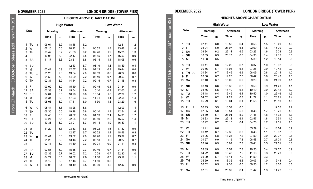From 27 March – 30 October, please add 1 hour for BST

From 27 March -

30 October, please add 1 hour for

 $-55$ 

### **NOVEMBER 2022 LONDON BRIDGE (TOWER PIER)**

### **HEIGHTS ABOVE CHART DATUM**

|  |  |  | UVEIVIDER ZUZZ |  |  |
|--|--|--|----------------|--|--|
|  |  |  |                |  |  |

|                      |                | <b>High Water</b> |                   |     | <b>Low Water</b> |     |           |     |
|----------------------|----------------|-------------------|-------------------|-----|------------------|-----|-----------|-----|
| Date                 | <b>Morning</b> |                   | Afternoon         |     | <b>Morning</b>   |     | Afternoon |     |
|                      | Time           | m                 | Time              | m   | Time             | m   | Time      | m   |
| TU<br>1<br>ъ         | 06 04          | 5.9               | 1848              | 6.2 |                  |     | 12 31     | 1.2 |
| $\overline{a}$<br>W  | 07 16          | 5.6               | 20 12             | 6.1 | 00 52            | 1.8 | 1346      | 1.4 |
| 3<br>TH              | 08 47          | 5.7               | 21 33             | 6.2 | 02 26            | 1.9 | 15 25     | 1.3 |
| F<br>4               | 10 08          | 6.0               | 22 47             | 6.5 | 03 55            | 1.7 | 16 53     | 0.9 |
| <b>SA</b><br>5       | 11 17          | 6.3               | 2351              | 6.8 | 05 14            | 1.4 | 18 05     | 0.6 |
| 6<br>SU              |                |                   | 12 13             | 6.7 | 06 19            | 1.1 | 18 59     | 0.4 |
| $\overline{7}$<br>M  | 00 41          | 6.9               | 1257              | 6.9 | 07 13            | 0.9 | 19 44     | 0.4 |
| 8<br>TU<br>$\bigcap$ | 01 23          | 7.0               | 13 34             | 7.0 | 07 59            | 0.8 | 20 22     | 0.6 |
| W<br>9               | 01 59          | 7.0               | 14 09             | 7.2 | 08 40            | 0.7 | 20 53     | 0.7 |
| TH<br>10             | 02 31          | 6.9               | 14 44             | 7.2 | 09 15            | 0.7 | 21 15     | 0.8 |
| F<br>11              | 03 02          | 6.9               | 15 19             | 7.1 | 09 45            | 0.8 | 21 34     | 0.9 |
| SA<br>12             | 03 33          | 6.7               | 15 54             | 6.9 | 10 10            | 0.9 | 22 00     | 1.0 |
| 13<br>SU             | 04 04          | 6.5               | 16 29             | 6.6 | 10 34            | 1.0 | 22 29     | 1.2 |
| 14<br>M              | 04 34          | 6.3               | 1703              | 6.3 | 11 01            | 1.1 | 22 58     | 1.4 |
| 15<br>TU             | 05 05          | 6.0               | 1741              | 6.0 | 11 30            | 1.3 | 23 29     | 1.6 |
| W<br>16<br>¢         | 05 44          | 5.8               | 18 28             | 5.8 |                  |     | 1203      | 1.4 |
| 17<br>TH             | 06 36          | 5.5               | 19 28             | 5.6 | 00 10            | 1.9 | 12 54     | 1.6 |
| 18<br>F              | 0746           | 5.3               | 20 52             | 5.6 | 01 13            | 2.1 | 14 31     | 1.7 |
| <b>SA</b><br>19      | 09 27          | 5.5               | 22 04             | 5.9 | 02 50            | 2.2 | 15 57     | 1.4 |
| SU<br>20             | 10 35          | 5.9               | 23 01             | 6.3 | 04 14            | 1.9 | 16 57     | 1.1 |
| 21<br>M              | 11 29          | 6.3               | 23 53             | 6.6 | 05 22            | 1.6 | 17 52     | 0.9 |
| 22<br>TU             |                |                   | 12 17             | 6.7 | 06 22            | 1.4 | 1846      | 0.8 |
| 23<br>w              | 00 41          | 6.8               | 1302              | 7.0 | 07 20            | 1.2 | 19 39     | 0.7 |
| 24<br>TH             | 01 26          | 6.9               | 1346              | 7.2 | 08 13            | 1.0 | 20 27     | 0.7 |
| 25<br>F              | 02 11          | 6.9               | 14 30             | 7.3 | 09 01            | 0.9 | 21 11     | 0.8 |
| <b>SA</b><br>26      | 02 55          | 6.9               | 15 15             | 7.3 | 09 46            | 0.7 | 2151      | 0.9 |
| 27<br>SU             | 03 39          | 6.7               | 16 02             | 7.2 | 10 28            | 0.7 | 22 30     | 1.0 |
| 28<br>M              | 04 24          | 6.5               | 16 52             | 7.0 | 11 08            | 0.7 | 23 12     | 1.1 |
| 29<br>TU             | 05 12          | 6.3               | 1746              | 6.7 | 11 50            | 0.8 |           |     |
| 30<br>W<br>D         | 06 06          | 6.1               | 1849              | 6.5 | 00 00            | 1.3 | 12 42     | 0.9 |
|                      |                |                   |                   |     |                  |     |           |     |
|                      |                |                   | Time Zone UT(GMT) |     |                  |     |           |     |

### **HEIGHTS ABOVE CHART DATUM** From 27 March – 30 October, please add 1 hour for BST30 October, please add 1 hour for BST **High Water Low Water Date Morning Afternoon Morning Afternoon Time m Time m Time m Time m** 1 TH | 07 11 | 6.0 | 1958 | 6.4 | 0058 | 1.5 | 1349 | 1.0 2 F | 08 24 | 6.0 | 2107 | 6.4 | 02 09 | 1.6 | 15 00 | 0.9 3 SA 09 34 6.2 22 14 6.5 03 23 1.6 16 08 0.9 4 **SU** 10 39 6.3 23 17 6.6 04 33 1.4 17 15 0.8 5 M | 11 38 | 6.5 | | | | 0539 | 1.2 | 18 14 | 0.8 6 TU | 00 11 | 6.6 | 12 26 | 6.7 | 06 37 | 1.0 | 19 02 | 0.8 7 W | 00 56 | 6.7 | 13 08 | 6.8 | 07 26 | 0.9 | 19 42 | 0.9 8 TH ⊙ | 01 34 | 6.7 | 13 46 | 6.9 | 08 09 | 0.8 | 20 14 | 1.0 9 F 02 08 6.7 14 23 7.0 08 47 0.8 20 42 1.0 10 SA  $\begin{array}{|c|c|c|c|c|c|c|c|c|} \hline \end{array}$  02 40 6.7 | 15 00 | 6.9 | 09 20 | 0.8 | 21 09 | 1.1 From 27 March -11 **SU** 03 13 6.6 15 35 6.8 09 50 0.9 21 40 1.1 12 M | 03 46 | 6.5 | 16 10 | 6.6 | 10 19 | 0.9 | 22 12 | 1.2 13 TU | 04 18 | 6.4 | 16 45 | 6.4 | 10 50 | 1.0 | 22 46 | 1.3 14 W 04 52 6.2 17 22 6.3 11 22 1.1 23 21 1.4 15 TH 05 29 6.1 18 04 6.1 11 55 1.1 23 59 1.616 F C 06 13 5.9 18 52 6.0 12 12 12 35 1.2 17 SA  $\begin{array}{|c|c|c|c|c|c|c|c|} \hline \end{array}$  07 05 | 5.8 | 19 51 | 5.9 | 00 46 | 1.7 | 13 26 | 1.3 18 **SU** 08 10 5.7 21 04 5.9 01 46 1.8 14 32 1.3 19 M 09 33 5.9 22 13 6.1 02 57 1.8 15 51 1.2 20 TU | 10 42 | 6.2 | 23 15 | 6.4 | 04 20 | 1.7 | 17 01 | 1.0 21 W | 11 41 | 6.6 | | | | 0539 | 1.4 | 18 04 | 0.9 22 TH 00 12 6.7 12 36 6.9 06 48 1.1 19 07 0.8 23 F 01 06 6.8 13 28 7.2 07 50 0.9 20 07 0.8 24 SA  $\begin{array}{|c|c|c|c|c|c|c|c|} \hline \end{array}$  0.9 14 19 7.3 08 48 0.7 21 01 0.8 25 **SU** | 02 46 | 6.9 | 15 09 | 7.3 | 09 41 | 0.5 | 21 51 | 0.8 26 M 03 35 6.9 15 59 7.3 10 30 0.4 22 37 0.9 27 TU | 04 22 | 6.8 | 16 49 | 7.2 | 11 16 | 0.3 | 23 20 | 0.9 28 W 05 09 6.7 17 41 7.0 11 59 0.3 29 TH 05 59 6.6 18 35 6.8 00 03 1.0 12 43 0.4 30 F 06 52 6.5 19 33 6.5 00 50 1.2 13 30 0.6 31 SA | 07 51 | 6.4 | 20 32 | 6.4 | 01 42 | 1.3 | 14 22 | 0.8

**DECEMBER 2022 LONDON BRIDGE (TOWER PIER)**

**Time Zone UT(GMT)**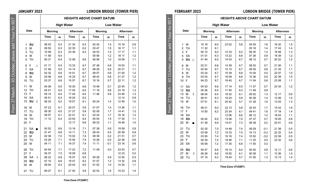|                                                       | <b>FEBRUARY 2023</b>        |                |     |                   |     |                                  |                  | <b>LONDON BRIDGE (TOWER PIER)</b> |     |
|-------------------------------------------------------|-----------------------------|----------------|-----|-------------------|-----|----------------------------------|------------------|-----------------------------------|-----|
|                                                       |                             |                |     |                   |     | <b>HEIGHTS ABOVE CHART DATUM</b> |                  |                                   |     |
| From 27 March - 30 October, please add 1 hour for BST |                             |                |     | <b>High Water</b> |     |                                  | <b>Low Water</b> |                                   |     |
|                                                       | Date                        | <b>Morning</b> |     | Afternoon         |     | <b>Morning</b>                   |                  | Afternoon                         |     |
|                                                       |                             | Time           | m   | Time              | m   | Time                             | m                | Time                              | m   |
|                                                       | W<br>1                      | 10 18          | 6.0 | 23 02             | 5.8 | 04 05                            | 1.6              | 16 32                             | 1.5 |
|                                                       | <b>TH</b><br>$\overline{2}$ | 11 32          | 6.1 |                   |     | 05 18                            | 1.4              | 1743                              | 1.4 |
|                                                       | F<br>3                      | 00 10          | 6.0 | 12 33             | 6.3 | 06 30                            | 1.2              | 18 48                             | 1.3 |
|                                                       | <b>SA</b><br>4              | 01 01          | 6.3 | 13 22             | 6.6 | 07 26                            | 0.9              | 19 39                             | 1.2 |
|                                                       | SU<br>5<br>$\circ$          | 01 44          | 6.5 | 14 03             | 6.7 | 08 12                            | 0.7              | 20 22                             | 1.2 |
|                                                       | 6<br>M                      | 02 21          | 6.6 | 14 39             | 6.7 | 08 53                            | 0.7              | 21 00                             | 1.1 |
|                                                       | TU<br>$\overline{7}$        | 02 54          | 6.7 | 15 10             | 6.7 | 09 30                            | 0.6              | 21 34                             | 1.1 |
|                                                       | W<br>8                      | 03 24          | 6.7 | 15 39             | 6.8 | 10 04                            | 0.5              | 22 07                             | 1.0 |
|                                                       | <b>TH</b><br>9              | 03 53          | 6.7 | 16 09             | 6.8 | 10 36                            | 0.5              | 22 39                             | 1.0 |
|                                                       | F<br>10                     | 04 23          | 6.7 | 1640              | 6.7 | 11 04                            | 0.6              | 23 08                             | 1.1 |
|                                                       | <b>SA</b><br>11             | 04 53          | 6.6 | 17 14             | 6.5 | 11 27                            | 0.7              | 23 34                             | 1.2 |
|                                                       | 12<br>SU                    | 05 26          | 6.5 | 1750              | 6.3 | 1149                             | 0.8              |                                   |     |
|                                                       | 13<br>M<br>€                | 06 04          | 6.4 | 18 32             | 6.1 | 00 02                            | 1.3              | 12 17                             | 0.9 |
|                                                       | 14<br>TU                    | 06 51          | 6.3 | 19 24             | 5.9 | 00 38                            | 1.4              | 12 56                             | 1.0 |
|                                                       | 15<br>W                     | 07 51          | 6.1 | 2042              | 5.7 | 01 28                            | 1.6              | 13 53                             | 1.3 |
|                                                       | TH<br>16                    | 09 21          | 6.0 | 22 13             | 5.8 | 02 43                            | 1.7              | 15 43                             | 1.6 |
|                                                       | 17<br>F                     | 10 50          | 6.2 | 23 34             | 6.1 | 04 41                            | 1.6              | 17 18                             | 1.4 |
|                                                       | <b>SA</b><br>18             |                |     | 12 06             | 6.6 | 06 12                            | 1.2              | 18 43                             | 1.1 |
|                                                       | SU<br>19                    | 00 42          | 6.5 | 13 08             | 7.0 | 07 37                            | 0.7              | 19 55                             | 0.8 |
|                                                       | M<br>20                     | 01 38          | 6.8 | 14 01             | 7.3 | 08 38                            | 0.2              | 20 51                             | 0.6 |
|                                                       | TU<br>21                    | 02 25          | 7.0 | 14 49             | 7.4 | 09 29                            | $-0.1$           | 21 39                             | 0.5 |
|                                                       | 22<br>W                     | 03 09          | 7.2 | 15 33             | 7.5 | 10 13                            | $-0.3$           | 22 22                             | 0.4 |
|                                                       | <b>TH</b><br>23             | 03 50          | 7.4 | 16 16             | 7.4 | 10 52                            | $-0.2$           | 22 59                             | 0.5 |
|                                                       | F<br>24                     | 04 29          | 7.4 | 16 56             | 7.1 | 11 25                            | 0.0              | 23 32                             | 0.6 |
|                                                       | <b>SA</b><br>25             | 05 08          | 7.2 | 17 35             | 6.8 | 1150                             | 0.3              |                                   |     |
|                                                       | SU<br>26                    | 05 47          | 6.9 | 18 14             | 6.4 | 00 00                            | 0.8              | 12 11                             | 0.6 |
|                                                       | 27<br>M<br>ъ                | 06 28          | 6.6 | 18 55             | 6.1 | 00 28                            | 1.1              | 12 36                             | 1.0 |
|                                                       | TU<br>28                    | 07 16          | 6.2 | 1944              | 5.7 | 01 00                            | 1.3              | 13 13                             | 1.4 |

**Time Zone UT(GMT)**

**JANUARY 2023 LONDON BRIDGE (TOWER PIER)**

**HEIGHTS ABOVE CHART DATUM High Water Low Water**

|                         | Date      |         | Morning |     | Afternoon |     | <b>Morning</b> |        | Afternoon |     |
|-------------------------|-----------|---------|---------|-----|-----------|-----|----------------|--------|-----------|-----|
|                         |           |         | Time    | m   | Time      | m   | Time           | m      | Time      | m   |
| 1                       | SU        |         | 08 53   | 6.3 | 21 32     | 6.3 | 02 42          | 1.5    | 15 19     | 0.9 |
| $\overline{2}$          | M         |         | 09 55   | 6.3 | 22 35     | 6.2 | 03 47          | 1.5    | 16 17     | 1.1 |
| 3                       | TU        |         | 10 58   | 6.3 | 23 38     | 6.3 | 04 53          | 1.4    | 17 17     | 1.1 |
| $\overline{\mathbf{4}}$ | W         |         | 11 58   | 6.4 |           |     | 05 58          | 1.2    | 18 17     | 1.2 |
| 5                       | TН        |         | 00 31   | 6.4 | 12 48     | 6.6 | 06 56          | 1.0    | 1909      | 1.1 |
| 6                       | F         | $\circ$ | 01 17   | 6.5 | 13 33     | 6.7 | 07 46          | 0.9    | 1953      | 1.1 |
| $\overline{7}$          | <b>SA</b> |         | 01 56   | 6.5 | 14 14     | 6.7 | 08 29          | 0.8    | 20 31     | 1.1 |
| 8                       | SU        |         | 02 32   | 6.6 | 14 51     | 6.7 | 09 07          | 0.8    | 21 05     | 1.2 |
| 9                       | M         |         | 03 06   | 6.6 | 15 25     | 6.7 | 09 43          | 0.8    | 21 37     | 1.2 |
| 10                      | TU        |         | 03 37   | 6.6 | 15 57     | 6.7 | 10 16          | 0.7    | 22 11     | 1.2 |
| 11                      | W         |         | 04 09   | 6.5 | 16 30     | 6.6 | 10 48          | 0.7    | 22 45     | 1.2 |
| 12                      | <b>TH</b> |         | 04 41   | 6.5 | 17 04     | 6.5 | 11 19          | 0.8    | 23 18     | 1.2 |
| 13                      | F         |         | 05 14   | 6.4 | 1740      | 6.4 | 11 46          | 0.8    | 2349      | 1.3 |
| 14                      | <b>SA</b> |         | 05 51   | 6.3 | 18 20     | 6.2 |                |        | 12 14     | 0.9 |
| 15                      | SU        | C       | 06 33   | 6.2 | 19 07     | 6.1 | 00 24          | 1.4    | 1249      | 1.0 |
| 16                      | M         |         | 07 23   | 6.1 | 20 07     | 5.9 | 01 07          | 1.5    | 13 36     | 1.1 |
| 17                      | TU        |         | 08 30   | 6.0 | 21 27     | 5.9 | 02 05          | 1.7    | 1441      | 1.2 |
| 18                      | W         |         | 09 57   | 6.1 | 22 41     | 6.1 | 03 24          | 1.7    | 16 16     | 1.3 |
| 19                      | <b>TH</b> |         | 11 12   | 6.4 | 23 50     | 6.4 | 05 04          | 1.5    | 17 35     | 1.1 |
| 20                      | F         |         |         |     | 12 17     | 6.8 | 06 23          | 1.1    | 1848      | 1.0 |
| 21                      | <b>SA</b> |         | 00 52   | 6.6 | 13 16     | 7.1 | 07 38          | 0.8    | 1959      | 0.9 |
| 22                      | SU        |         | 01 47   | 6.8 | 14 11     | 7.3 | 08 43          | 0.5    | 20 59     | 0.8 |
| 23                      | M         |         | 02 38   | 7.0 | 15 02     | 7.4 | 09 39          | 0.2    | 2151      | 0.7 |
| 24                      | TU        |         | 03 26   | 7.1 | 15 50     | 7.5 | 10 28          | 0.0    | 22 36     | 0.6 |
| 25                      | W         |         | 04 11   | 7.1 | 16 37     | 7.4 | 11 11          | $-0.1$ | 23 16     | 0.6 |
| 26                      | TH        |         | 04 54   | 7.1 | 17 23     | 7.2 | 11 49          | 0.0    | 23 53     | 0.7 |
| 27                      | F         |         | 05 37   | 7.0 | 18 09     | 6.9 |                |        | 12 23     | 0.2 |
| 28                      | <b>SA</b> | D       | 06 22   | 6.8 | 18 57     | 6.5 | 00 29          | 0.9    | 12 55     | 0.5 |
| 29                      | SU        |         | 07 10   | 6.6 | 1947      | 6.2 | 01 07          | 1.2    | 13 32     | 0.8 |
| 30                      | М         |         | 08 04   | 6.3 | 20 42     | 6.0 | 01 52          | 1.4    | 14 20     | 1.1 |
| 31                      | TU        |         | 09 07   | 6.1 | 21 45     | 5.8 | 02 53          | 1.6    | 15 23     | 1.4 |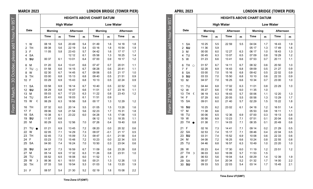|                            | <b>APRIL 2023</b>    |                |                   |                |            |                                  |            | <b>LONDON BRIDGE (TOWER PIER)</b> |            |
|----------------------------|----------------------|----------------|-------------------|----------------|------------|----------------------------------|------------|-----------------------------------|------------|
|                            |                      |                |                   |                |            | <b>HEIGHTS ABOVE CHART DATUM</b> |            |                                   |            |
| for $BS$                   |                      |                | <b>High Water</b> |                |            |                                  |            | <b>Low Water</b>                  |            |
|                            | Date                 | Mornina        |                   | Afternoon      |            | Mornina                          |            | Afternoon                         |            |
|                            |                      | Time           | m                 | Time           | m          | Time                             | m          | Time                              | m          |
| October, please add 1 hour | <b>SA</b><br>1       | 10 25          | 5.5               | 22 59          | 5.5        | 04 04                            | 1.7        | 1643                              | 1.9        |
|                            | $\overline{2}$<br>SU | 11 36          | 5.9               |                |            | 05 17                            | 1.3        | 1749                              | 1.6        |
|                            | 3<br>M<br>TU         | 00 00<br>00 45 | 6.0<br>6.3        | 12 27<br>13 07 | 6.3<br>6.5 | 06 17<br>07 09                   | 1.0<br>0.8 | 1843<br>19 29                     | 1.3<br>1.2 |
|                            | 4<br>5<br>W          | 01 23          | 6.6               | 13 41          | 6.6        | 07 53                            | 0.7        | 20 11                             | 1.1        |
|                            | TH<br>6<br>$\circ$   | 01 57          | 6.7               | 14 11          | 6.7        | 08 32                            | 0.6        | 20 50                             | 1.0        |
|                            | $\overline{7}$<br>F  | 02 28          | 6.9               | 14 43          | 6.8        | 09 09                            | 0.5        | 21 27                             | 0.9        |
|                            | 8<br><b>SA</b>       | 03 00          | 7.0               | 15 16          | 6.8        | 09 42                            | 0.5        | 2202                              | 0.9        |
|                            | SU<br>9              | 03 33          | 7.0               | 15 50          | 6.8        | 10 10                            | 0.6        | 22 33                             | 0.9        |
| 30                         | M<br>10              | 04 07          | 7.0               | 16 25          | 6.6        | 10 34                            | 0.7        | 23 00                             | 1.0        |
|                            | TU<br>11             | 04 44          | 6.8               | 17 02          | 6.3        | 11 01                            | 0.8        | 23 29                             | 1.0        |
|                            | 12<br>W              | 05 27          | 6.6               | 1745           | 6.0        | 11 35                            | 1.0        |                                   |            |
|                            | 13<br><b>TH</b><br>€ | 06 19          | 6.3               | 18 43          | 5.7        | 00 06                            | 1.1        | 12 20                             | 1.3        |
|                            | F<br>14              | 07 29          | 6.0               | 20 05          | 5.5        | 00 58                            | 1.3        | 13 29                             | 1.7        |
| From 27 March              | 15<br><b>SA</b>      | 09 01          | 6.0               | 21 40          | 5.7        | 02 29                            | 1.5        | 15 22                             | 1.8        |
|                            | <b>SU</b><br>16      | 10 25          | 6.2               | 23 02          | 6.1        | 04 18                            | 1.2        | 16 51                             | 1.4        |
|                            | 17<br>M              | 11 38          | 6.6               |                |            | 05 53                            | 0.8        | 18 11                             | 1.1        |
|                            | 18<br>TU             | 00 06          | 6.5               | 12 36          | 6.9        | 07 00                            | 0.3        | 19 13                             | 0.8        |
|                            | W<br>19              | 00 56          | 6.9               | 13 23          | 7.1        | 07 51                            | 0.1        | 20 04                             | 0.6        |
|                            | <b>TH</b><br>20      | 01 38          | 7.1               | 14 03          | 7.1        | 08 35                            | 0.1        | 2049                              | 0.6        |
|                            | F<br>21              | 02 16          | 7.3               | 14 41          | 7.1        | 09 14                            | 0.2        | 21 29                             | 0.5        |
|                            | 22<br><b>SA</b>      | 02 53          | 7.4               | 15 17          | 7.1        | 09 46                            | 0.4        | 22 04                             | 0.5        |
|                            | SU<br>23             | 03 31          | 7.4               | 15 52          | 6.9        | 10 08                            | 0.6        | 22 33                             | 0.6        |
|                            | M<br>24              | 04 08          | 7.2               | 16 25          | 6.6        | 10 24                            | 0.8        | 22 55                             | 0.8        |
|                            | TU<br>25             | 04 46          | 6.8               | 16 57          | 6.3        | 10 49                            | 1.0        | 23 20                             | 1.0        |
|                            | 26<br>W              | 05 23          | 6.4               | 17 30          | 6.0        | 11 19                            | 1.2        | 23 51                             | 1.2        |
|                            | 27<br>TH<br>r        | 06 03          | 6.0               | 18 09          | 5.7        | 11 53                            | 1.5        |                                   |            |
|                            | F<br>28              | 06 53          | 5.6               | 19 04          | 5.4        | 00 29                            | 1.4        | 12 39                             | 1.9        |
|                            | <b>SA</b><br>29      | 08 07          | 5.4               | 20 34          | 5.2        | 01 32                            | 1.7        | 14 00                             | 2.2        |
|                            | <b>SU</b><br>30      | 09 33          | 5.5               | 22 03          | 5.4        | 03 14                            | 1.7        | 1545                              | 2.1        |
|                            |                      |                |                   |                |            |                                  |            |                                   |            |

**Time Zone UT(GMT)**

**MARCH 2023 LONDON BRIDGE (TOWER PIER)**

|                |               |         | <b>HEIGHTS ABOVE CHART DATUM</b> |                   |     |         |        |                  |     |  |  |
|----------------|---------------|---------|----------------------------------|-------------------|-----|---------|--------|------------------|-----|--|--|
|                |               |         |                                  | <b>High Water</b> |     |         |        | <b>Low Water</b> |     |  |  |
|                | Date          | Mornina |                                  | Afternoon         |     | Morning |        | Afternoon        |     |  |  |
|                |               | Time    | m                                | Time              | m   | Time    | m      | Time             | m   |  |  |
| 1              | w             | 08 18   | 5.8                              | 20 49             | 5.4 | 01 49   | 1.6    | 14 18            | 1.8 |  |  |
| $\overline{2}$ | <b>TH</b>     | 09 38   | 5.6                              | 22 19             | 5.4 | 03 16   | 1.8    | 15 54            | 1.9 |  |  |
| 3              | F             | 11 05   | 5.8                              | 23 43             | 5.7 | 04 42   | 1.6    | 17 17            | 1.7 |  |  |
| 4              | <b>SA</b>     |         |                                  | 12 12             | 6.1 | 05 58   | 1.3    | 18 25            | 1.4 |  |  |
| 5              | SU            | 00 37   | 6.1                              | 13 01             | 6.4 | 07 00   | 0.9    | 19 17            | 1.2 |  |  |
| 6              | M             | 01 20   | 6.4                              | 1341              | 6.6 | 0747    | 0.7    | 20 01            | 1.1 |  |  |
| $\overline{7}$ | TU<br>$\circ$ | 01 58   | 6.6                              | 14 15             | 6.7 | 08 28   | 0.6    | 2041             | 1.1 |  |  |
| 8              | W             | 02.30   | 6.7                              | 14 45             | 6.7 | 09.06   | 0.5    | 21 17            | 1.0 |  |  |
| 9              | <b>TH</b>     | 03 00   | 6.8                              | 15 13             | 6.8 | 09 40   | 0.5    | 2151             | 0.9 |  |  |
| 10             | F             | 03 29   | 6.9                              | 1543              | 6.8 | 10 13   | 0.5    | 22 24            | 0.9 |  |  |
| 11             | <b>SA</b>     | 03 58   | 6.9                              | 16 14             | 6.7 | 10 40   | 0.5    | 22 52            | 1.0 |  |  |
| 12             | SU            | 04 29   | 6.8                              | 16 47             | 6.6 | 11 01   | 0.7    | 23 16            | 1.1 |  |  |
| 13             | M             | 05 03   | 6.7                              | 17 23             | 6.3 | 11 22   | 0.8    | 2343             | 1.2 |  |  |
| 14             | TU            | 05 41   | 6.6                              | 18 03             | 6.1 | 11 51   | 0.9    |                  |     |  |  |
| 15             | W<br>C        | 06 29   | 6.3                              | 18 56             | 5.8 | 00 17   | 1.3    | 12 29            | 1.2 |  |  |
| 16             | <b>TH</b>     | 07 32   | 6.0                              | 20 14             | 5.5 | 01 05   | 1.5    | 13 28            | 1.6 |  |  |
| 17             | F             | 09 06   | 5.8                              | 21 54             | 5.6 | 02 23   | 1.7    | 1531             | 1.8 |  |  |
| 18             | <b>SA</b>     | 10 38   | 6.1                              | 23 22             | 6.0 | 04 28   | 1.5    | 1708             | 1.5 |  |  |
| 19             | SU            | 11 57   | 6.6                              |                   |     | 06 12   | 1.0    | 18 35            | 1.1 |  |  |
| 20             | M             | 00 29   | 6.5                              | 12 56             | 7.0 | 07 26   | 0.4    | 1940             | 0.8 |  |  |
| 21             | TU            | 01 21   | 6.9                              | 1345              | 7.2 | 08 20   | 0.0    | 20 32            | 0.6 |  |  |
| 22             | W             | 02 05   | 7.1                              | 14 29             | 7.3 | 09 07   | $-0.1$ | 21 17            | 0.5 |  |  |
| 23             | <b>TH</b>     | 02 45   | 7.3                              | 15 09             | 7.3 | 09 47   | $-0.1$ | 2158             | 0.4 |  |  |
| 24             | F             | 03 23   | 7.5                              | 15 48             | 7.2 | 10 23   | 0.0    | 22 34            | 0.5 |  |  |
| 25             | <b>SA</b>     | 04 00   | 7.4                              | 16 24             | 7.0 | 10 50   | 0.3    | 23 04            | 0.6 |  |  |
| 26             | SU            | 04 37   | 7.3                              | 16 59             | 6.7 | 11 09   | 0.6    | 23 28            | 0.8 |  |  |
| 27             | M             | 05 14   | 6.9                              | 17 32             | 6.3 | 11 26   | 0.8    | 23 51            | 1.0 |  |  |
| 28             | TU            | 05 52   | 6.5                              | 18 08             | 6.0 | 11 52   | 1.1    |                  |     |  |  |
| 29             | W<br>D        | 06 36   | 6.1                              | 18 51             | 5.6 | 00 21   | 1.3    | 12 26            | 1.5 |  |  |
| 30             | <b>TH</b>     | 07 33   | 5.6                              | 1954              | 5.3 | 01 03   | 1.6    | 13 20            | 1.9 |  |  |
| 31             | F             | 08 57   | 5.4                              | 21 30             | 5.2 | 02 19   | 1.8    | 15 08            | 2.2 |  |  |

**Time Zone UT(GMT)**

From 27 March – 30 October, please add 1 hour for BST

From 27 March -

30 October, please add 1 hour for BST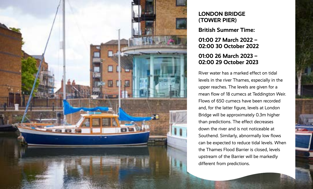

### **LONDON BRIDGE (TOWER PIER)**

**British Summer Time:** 

**01:00 27 March 2022 – 02:00 30 October 2022** 

## **01:00 26 March 2023 – 02:00 29 October 2023**

River water has a marked effect on tidal levels in the river Thames, especially in the upper reaches. The levels are given for a mean flow of 18 cumecs at Teddington Weir. Flows of 650 cumecs have been recorded and, for the latter figure, levels at London Bridge will be approximately 0.3m higher than predictions. The effect decreases down the river and is not noticeable at Southend. Similarly, abnormally low flows can be expected to reduce tidal levels. When the Thames Flood Barrier is closed, levels upstream of the Barrier will be markedly different from predictions.